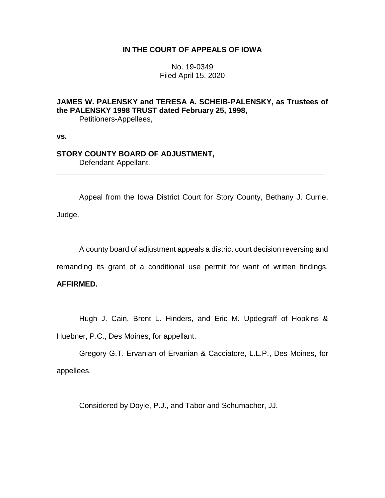## **IN THE COURT OF APPEALS OF IOWA**

No. 19-0349 Filed April 15, 2020

# **JAMES W. PALENSKY and TERESA A. SCHEIB-PALENSKY, as Trustees of the PALENSKY 1998 TRUST dated February 25, 1998,**

Petitioners-Appellees,

**vs.**

# **STORY COUNTY BOARD OF ADJUSTMENT,**

Defendant-Appellant.

Appeal from the Iowa District Court for Story County, Bethany J. Currie, Judge.

\_\_\_\_\_\_\_\_\_\_\_\_\_\_\_\_\_\_\_\_\_\_\_\_\_\_\_\_\_\_\_\_\_\_\_\_\_\_\_\_\_\_\_\_\_\_\_\_\_\_\_\_\_\_\_\_\_\_\_\_\_\_\_\_

A county board of adjustment appeals a district court decision reversing and

remanding its grant of a conditional use permit for want of written findings.

## **AFFIRMED.**

Hugh J. Cain, Brent L. Hinders, and Eric M. Updegraff of Hopkins &

Huebner, P.C., Des Moines, for appellant.

Gregory G.T. Ervanian of Ervanian & Cacciatore, L.L.P., Des Moines, for appellees.

Considered by Doyle, P.J., and Tabor and Schumacher, JJ.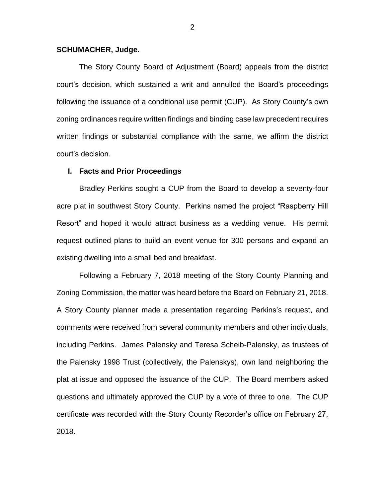### **SCHUMACHER, Judge.**

The Story County Board of Adjustment (Board) appeals from the district court's decision, which sustained a writ and annulled the Board's proceedings following the issuance of a conditional use permit (CUP). As Story County's own zoning ordinances require written findings and binding case law precedent requires written findings or substantial compliance with the same, we affirm the district court's decision.

### **I. Facts and Prior Proceedings**

Bradley Perkins sought a CUP from the Board to develop a seventy-four acre plat in southwest Story County. Perkins named the project "Raspberry Hill Resort" and hoped it would attract business as a wedding venue. His permit request outlined plans to build an event venue for 300 persons and expand an existing dwelling into a small bed and breakfast.

Following a February 7, 2018 meeting of the Story County Planning and Zoning Commission, the matter was heard before the Board on February 21, 2018. A Story County planner made a presentation regarding Perkins's request, and comments were received from several community members and other individuals, including Perkins. James Palensky and Teresa Scheib-Palensky, as trustees of the Palensky 1998 Trust (collectively, the Palenskys), own land neighboring the plat at issue and opposed the issuance of the CUP. The Board members asked questions and ultimately approved the CUP by a vote of three to one. The CUP certificate was recorded with the Story County Recorder's office on February 27, 2018.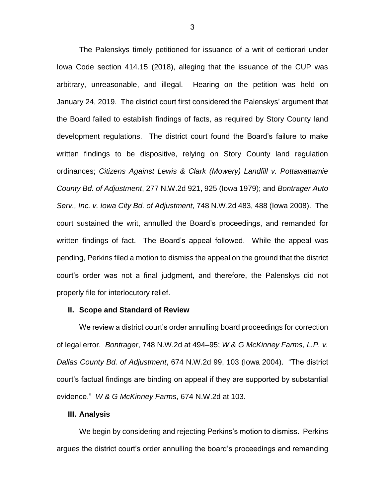The Palenskys timely petitioned for issuance of a writ of certiorari under Iowa Code section 414.15 (2018), alleging that the issuance of the CUP was arbitrary, unreasonable, and illegal. Hearing on the petition was held on January 24, 2019. The district court first considered the Palenskys' argument that the Board failed to establish findings of facts, as required by Story County land development regulations. The district court found the Board's failure to make written findings to be dispositive, relying on Story County land regulation ordinances; *Citizens Against Lewis & Clark (Mowery) Landfill v. Pottawattamie County Bd. of Adjustment*, 277 N.W.2d 921, 925 (Iowa 1979); and *Bontrager Auto Serv., Inc. v. Iowa City Bd. of Adjustment*, 748 N.W.2d 483, 488 (Iowa 2008). The court sustained the writ, annulled the Board's proceedings, and remanded for written findings of fact. The Board's appeal followed. While the appeal was pending, Perkins filed a motion to dismiss the appeal on the ground that the district court's order was not a final judgment, and therefore, the Palenskys did not properly file for interlocutory relief.

### **II. Scope and Standard of Review**

We review a district court's order annulling board proceedings for correction of legal error. *Bontrager*, 748 N.W.2d at 494–95; *W & G McKinney Farms, L.P. v. Dallas County Bd. of Adjustment*, 674 N.W.2d 99, 103 (Iowa 2004). "The district court's factual findings are binding on appeal if they are supported by substantial evidence." *W & G McKinney Farms*, 674 N.W.2d at 103.

### **III. Analysis**

We begin by considering and rejecting Perkins's motion to dismiss. Perkins argues the district court's order annulling the board's proceedings and remanding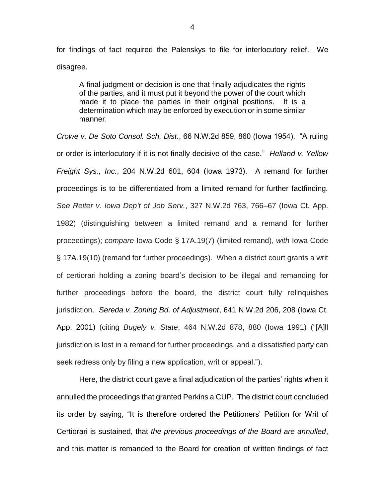for findings of fact required the Palenskys to file for interlocutory relief. We disagree.

A final judgment or decision is one that finally adjudicates the rights of the parties, and it must put it beyond the power of the court which made it to place the parties in their original positions. It is a determination which may be enforced by execution or in some similar manner.

*Crowe v. De Soto Consol. Sch. Dist.*, 66 N.W.2d 859, 860 (Iowa 1954). "A ruling or order is interlocutory if it is not finally decisive of the case." *Helland v. Yellow Freight Sys., Inc.*, 204 N.W.2d 601, 604 (Iowa 1973). A remand for further proceedings is to be differentiated from a limited remand for further factfinding. *See Reiter v. Iowa Dep't of Job Serv.*, 327 N.W.2d 763, 766–67 (Iowa Ct. App. 1982) (distinguishing between a limited remand and a remand for further proceedings); *compare* Iowa Code § 17A.19(7) (limited remand), *with* Iowa Code § 17A.19(10) (remand for further proceedings). When a district court grants a writ of certiorari holding a zoning board's decision to be illegal and remanding for further proceedings before the board, the district court fully relinquishes jurisdiction. *Sereda v. Zoning Bd. of Adjustment*, 641 N.W.2d 206, 208 (Iowa Ct. App. 2001) (citing *Bugely v. State*, 464 N.W.2d 878, 880 (Iowa 1991) ("[A]ll jurisdiction is lost in a remand for further proceedings, and a dissatisfied party can seek redress only by filing a new application, writ or appeal.").

Here, the district court gave a final adjudication of the parties' rights when it annulled the proceedings that granted Perkins a CUP. The district court concluded its order by saying, "It is therefore ordered the Petitioners' Petition for Writ of Certiorari is sustained, that *the previous proceedings of the Board are annulled*, and this matter is remanded to the Board for creation of written findings of fact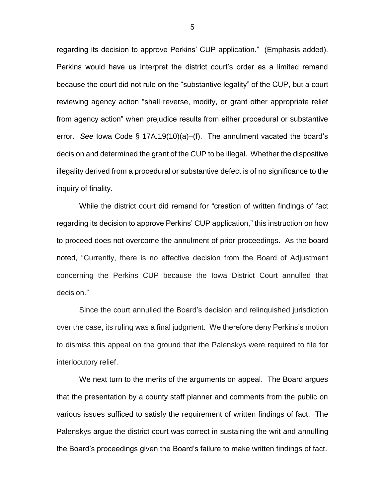regarding its decision to approve Perkins' CUP application." (Emphasis added). Perkins would have us interpret the district court's order as a limited remand because the court did not rule on the "substantive legality" of the CUP, but a court reviewing agency action "shall reverse, modify, or grant other appropriate relief from agency action" when prejudice results from either procedural or substantive error. *See* Iowa Code § 17A.19(10)(a)–(f). The annulment vacated the board's decision and determined the grant of the CUP to be illegal. Whether the dispositive illegality derived from a procedural or substantive defect is of no significance to the inquiry of finality.

While the district court did remand for "creation of written findings of fact regarding its decision to approve Perkins' CUP application," this instruction on how to proceed does not overcome the annulment of prior proceedings. As the board noted, "Currently, there is no effective decision from the Board of Adjustment concerning the Perkins CUP because the Iowa District Court annulled that decision."

Since the court annulled the Board's decision and relinquished jurisdiction over the case, its ruling was a final judgment. We therefore deny Perkins's motion to dismiss this appeal on the ground that the Palenskys were required to file for interlocutory relief.

We next turn to the merits of the arguments on appeal. The Board argues that the presentation by a county staff planner and comments from the public on various issues sufficed to satisfy the requirement of written findings of fact. The Palenskys argue the district court was correct in sustaining the writ and annulling the Board's proceedings given the Board's failure to make written findings of fact.

5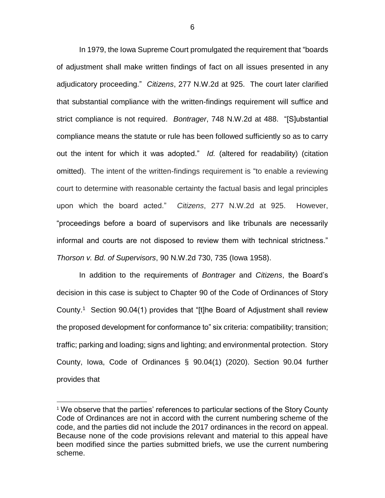In 1979, the Iowa Supreme Court promulgated the requirement that "boards of adjustment shall make written findings of fact on all issues presented in any adjudicatory proceeding." *Citizens*, 277 N.W.2d at 925. The court later clarified that substantial compliance with the written-findings requirement will suffice and strict compliance is not required. *Bontrager*, 748 N.W.2d at 488. "[S]ubstantial compliance means the statute or rule has been followed sufficiently so as to carry out the intent for which it was adopted." *Id.* (altered for readability) (citation omitted). The intent of the written-findings requirement is "to enable a reviewing court to determine with reasonable certainty the factual basis and legal principles upon which the board acted." *Citizens*, 277 N.W.2d at 925. However, "proceedings before a board of supervisors and like tribunals are necessarily informal and courts are not disposed to review them with technical strictness." *Thorson v. Bd. of Supervisors*, 90 N.W.2d 730, 735 (Iowa 1958).

In addition to the requirements of *Bontrager* and *Citizens*, the Board's decision in this case is subject to Chapter 90 of the Code of Ordinances of Story County.<sup>1</sup> Section 90.04(1) provides that "[t]he Board of Adjustment shall review the proposed development for conformance to" six criteria: compatibility; transition; traffic; parking and loading; signs and lighting; and environmental protection. Story County, Iowa, Code of Ordinances § 90.04(1) (2020). Section 90.04 further provides that

 $\overline{a}$ 

<sup>&</sup>lt;sup>1</sup> We observe that the parties' references to particular sections of the Story County Code of Ordinances are not in accord with the current numbering scheme of the code, and the parties did not include the 2017 ordinances in the record on appeal. Because none of the code provisions relevant and material to this appeal have been modified since the parties submitted briefs, we use the current numbering scheme.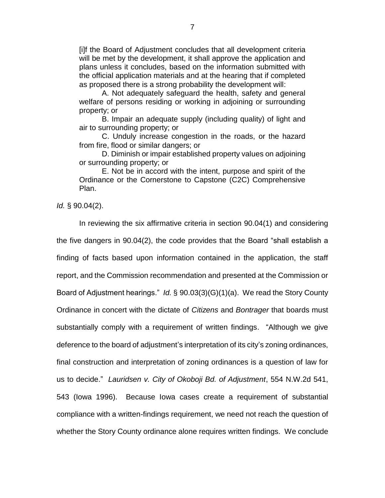[i]f the Board of Adjustment concludes that all development criteria will be met by the development, it shall approve the application and plans unless it concludes, based on the information submitted with the official application materials and at the hearing that if completed as proposed there is a strong probability the development will:

A. Not adequately safeguard the health, safety and general welfare of persons residing or working in adjoining or surrounding property; or

B. Impair an adequate supply (including quality) of light and air to surrounding property; or

C. Unduly increase congestion in the roads, or the hazard from fire, flood or similar dangers; or

D. Diminish or impair established property values on adjoining or surrounding property; or

E. Not be in accord with the intent, purpose and spirit of the Ordinance or the Cornerstone to Capstone (C2C) Comprehensive Plan.

*Id.* § 90.04(2).

In reviewing the six affirmative criteria in section 90.04(1) and considering the five dangers in 90.04(2), the code provides that the Board "shall establish a finding of facts based upon information contained in the application, the staff report, and the Commission recommendation and presented at the Commission or Board of Adjustment hearings." *Id.* § 90.03(3)(G)(1)(a). We read the Story County Ordinance in concert with the dictate of *Citizens* and *Bontrager* that boards must substantially comply with a requirement of written findings. "Although we give deference to the board of adjustment's interpretation of its city's zoning ordinances, final construction and interpretation of zoning ordinances is a question of law for us to decide." *Lauridsen v. City of Okoboji Bd. of Adjustment*, 554 N.W.2d 541, 543 (Iowa 1996). Because Iowa cases create a requirement of substantial compliance with a written-findings requirement, we need not reach the question of whether the Story County ordinance alone requires written findings. We conclude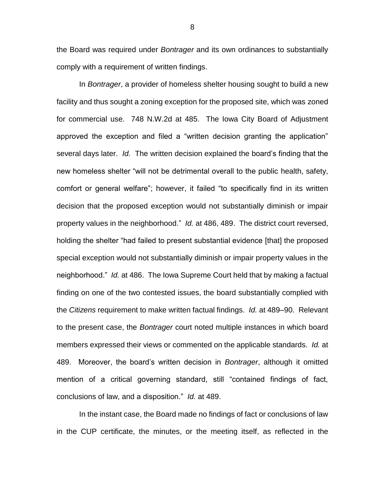the Board was required under *Bontrager* and its own ordinances to substantially comply with a requirement of written findings.

In *Bontrager*, a provider of homeless shelter housing sought to build a new facility and thus sought a zoning exception for the proposed site, which was zoned for commercial use. 748 N.W.2d at 485. The Iowa City Board of Adjustment approved the exception and filed a "written decision granting the application" several days later. *Id.* The written decision explained the board's finding that the new homeless shelter "will not be detrimental overall to the public health, safety, comfort or general welfare"; however, it failed "to specifically find in its written decision that the proposed exception would not substantially diminish or impair property values in the neighborhood." *Id.* at 486, 489. The district court reversed, holding the shelter "had failed to present substantial evidence [that] the proposed special exception would not substantially diminish or impair property values in the neighborhood." *Id.* at 486. The Iowa Supreme Court held that by making a factual finding on one of the two contested issues, the board substantially complied with the *Citizens* requirement to make written factual findings. *Id.* at 489–90. Relevant to the present case, the *Bontrager* court noted multiple instances in which board members expressed their views or commented on the applicable standards. *Id.* at 489. Moreover, the board's written decision in *Bontrager*, although it omitted mention of a critical governing standard, still "contained findings of fact, conclusions of law, and a disposition." *Id.* at 489.

In the instant case, the Board made no findings of fact or conclusions of law in the CUP certificate, the minutes, or the meeting itself, as reflected in the

8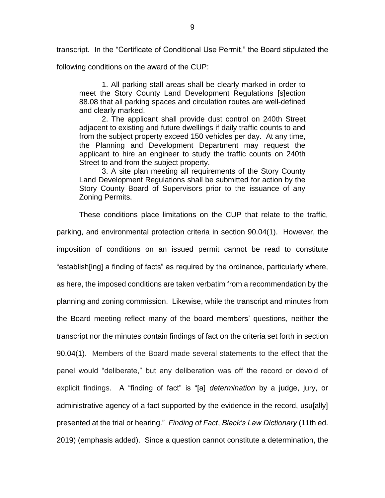transcript. In the "Certificate of Conditional Use Permit," the Board stipulated the

following conditions on the award of the CUP:

1. All parking stall areas shall be clearly marked in order to meet the Story County Land Development Regulations [s]ection 88.08 that all parking spaces and circulation routes are well-defined and clearly marked.

2. The applicant shall provide dust control on 240th Street adjacent to existing and future dwellings if daily traffic counts to and from the subject property exceed 150 vehicles per day. At any time, the Planning and Development Department may request the applicant to hire an engineer to study the traffic counts on 240th Street to and from the subject property.

3. A site plan meeting all requirements of the Story County Land Development Regulations shall be submitted for action by the Story County Board of Supervisors prior to the issuance of any Zoning Permits.

These conditions place limitations on the CUP that relate to the traffic, parking, and environmental protection criteria in section 90.04(1). However, the imposition of conditions on an issued permit cannot be read to constitute "establish[ing] a finding of facts" as required by the ordinance, particularly where, as here, the imposed conditions are taken verbatim from a recommendation by the planning and zoning commission. Likewise, while the transcript and minutes from the Board meeting reflect many of the board members' questions, neither the transcript nor the minutes contain findings of fact on the criteria set forth in section 90.04(1). Members of the Board made several statements to the effect that the panel would "deliberate," but any deliberation was off the record or devoid of explicit findings. A "finding of fact" is "[a] *determination* by a judge, jury, or administrative agency of a fact supported by the evidence in the record, usu[ally] presented at the trial or hearing." *Finding of Fact*, *Black's Law Dictionary* (11th ed. 2019) (emphasis added). Since a question cannot constitute a determination, the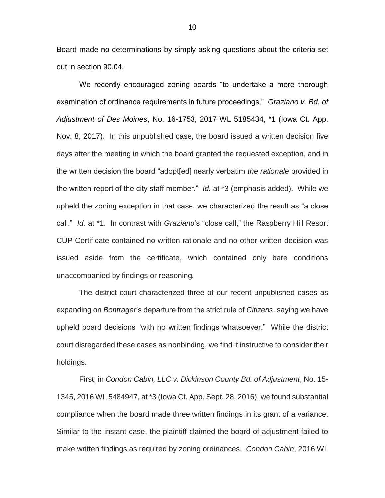Board made no determinations by simply asking questions about the criteria set out in section 90.04.

We recently encouraged zoning boards "to undertake a more thorough examination of ordinance requirements in future proceedings." *Graziano v. Bd. of Adjustment of Des Moines*, No. 16-1753, 2017 WL 5185434, \*1 (Iowa Ct. App. Nov. 8, 2017). In this unpublished case, the board issued a written decision five days after the meeting in which the board granted the requested exception, and in the written decision the board "adopt[ed] nearly verbatim *the rationale* provided in the written report of the city staff member." *Id.* at \*3 (emphasis added). While we upheld the zoning exception in that case, we characterized the result as "a close call." *Id.* at \*1. In contrast with *Graziano*'s "close call," the Raspberry Hill Resort CUP Certificate contained no written rationale and no other written decision was issued aside from the certificate, which contained only bare conditions unaccompanied by findings or reasoning.

The district court characterized three of our recent unpublished cases as expanding on *Bontrager*'s departure from the strict rule of *Citizens*, saying we have upheld board decisions "with no written findings whatsoever." While the district court disregarded these cases as nonbinding, we find it instructive to consider their holdings.

First, in *Condon Cabin, LLC v. Dickinson County Bd. of Adjustment*, No. 15- 1345, 2016 WL 5484947, at \*3 (Iowa Ct. App. Sept. 28, 2016), we found substantial compliance when the board made three written findings in its grant of a variance. Similar to the instant case, the plaintiff claimed the board of adjustment failed to make written findings as required by zoning ordinances. *Condon Cabin*, 2016 WL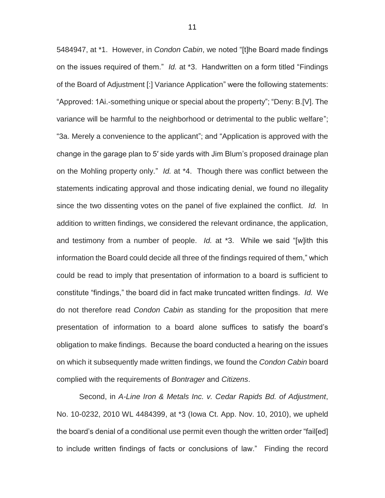5484947, at \*1. However, in *Condon Cabin*, we noted "[t]he Board made findings on the issues required of them." *Id.* at \*3. Handwritten on a form titled "Findings of the Board of Adjustment [:] Variance Application" were the following statements: "Approved: 1Ai.-something unique or special about the property"; "Deny: B.[V]. The variance will be harmful to the neighborhood or detrimental to the public welfare"; "3a. Merely a convenience to the applicant"; and "Application is approved with the change in the garage plan to 5′ side yards with Jim Blum's proposed drainage plan on the Mohling property only." *Id.* at \*4. Though there was conflict between the statements indicating approval and those indicating denial, we found no illegality since the two dissenting votes on the panel of five explained the conflict. *Id.* In addition to written findings, we considered the relevant ordinance, the application, and testimony from a number of people. *Id.* at \*3. While we said "[w]ith this information the Board could decide all three of the findings required of them," which could be read to imply that presentation of information to a board is sufficient to constitute "findings," the board did in fact make truncated written findings. *Id.* We do not therefore read *Condon Cabin* as standing for the proposition that mere presentation of information to a board alone suffices to satisfy the board's obligation to make findings. Because the board conducted a hearing on the issues on which it subsequently made written findings, we found the *Condon Cabin* board complied with the requirements of *Bontrager* and *Citizens*.

Second, in *A-Line Iron & Metals Inc. v. Cedar Rapids Bd. of Adjustment*, No. 10-0232, 2010 WL 4484399, at \*3 (Iowa Ct. App. Nov. 10, 2010), we upheld the board's denial of a conditional use permit even though the written order "fail[ed] to include written findings of facts or conclusions of law." Finding the record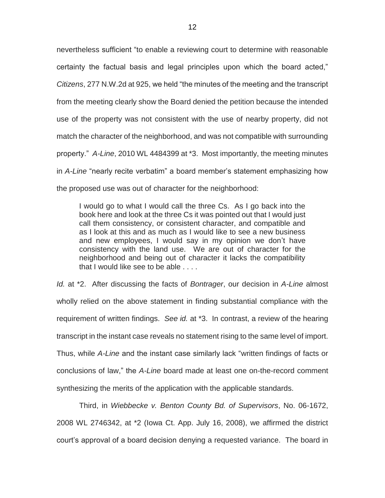nevertheless sufficient "to enable a reviewing court to determine with reasonable certainty the factual basis and legal principles upon which the board acted," *Citizens*, 277 N.W.2d at 925, we held "the minutes of the meeting and the transcript from the meeting clearly show the Board denied the petition because the intended use of the property was not consistent with the use of nearby property, did not match the character of the neighborhood, and was not compatible with surrounding property." *A-Line*, 2010 WL 4484399 at \*3. Most importantly, the meeting minutes in *A-Line* "nearly recite verbatim" a board member's statement emphasizing how the proposed use was out of character for the neighborhood:

I would go to what I would call the three Cs. As I go back into the book here and look at the three Cs it was pointed out that I would just call them consistency, or consistent character, and compatible and as I look at this and as much as I would like to see a new business and new employees, I would say in my opinion we don't have consistency with the land use. We are out of character for the neighborhood and being out of character it lacks the compatibility that I would like see to be able . . . .

*Id.* at \*2. After discussing the facts of *Bontrager*, our decision in *A-Line* almost wholly relied on the above statement in finding substantial compliance with the requirement of written findings. *See id.* at \*3. In contrast, a review of the hearing transcript in the instant case reveals no statement rising to the same level of import. Thus, while *A-Line* and the instant case similarly lack "written findings of facts or conclusions of law," the *A-Line* board made at least one on-the-record comment synthesizing the merits of the application with the applicable standards.

Third, in *Wiebbecke v. Benton County Bd. of Supervisors*, No. 06-1672, 2008 WL 2746342, at \*2 (Iowa Ct. App. July 16, 2008), we affirmed the district court's approval of a board decision denying a requested variance. The board in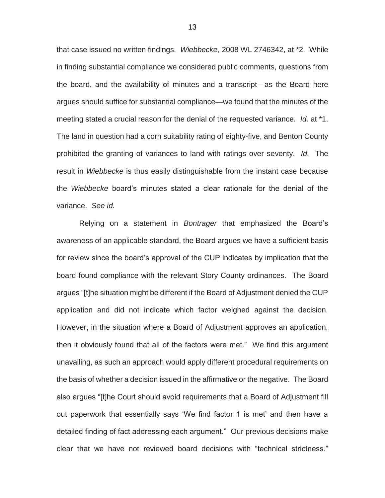that case issued no written findings. *Wiebbecke*, 2008 WL 2746342, at \*2. While in finding substantial compliance we considered public comments, questions from the board, and the availability of minutes and a transcript—as the Board here argues should suffice for substantial compliance—we found that the minutes of the meeting stated a crucial reason for the denial of the requested variance. *Id.* at \*1. The land in question had a corn suitability rating of eighty-five, and Benton County prohibited the granting of variances to land with ratings over seventy. *Id.* The result in *Wiebbecke* is thus easily distinguishable from the instant case because the *Wiebbecke* board's minutes stated a clear rationale for the denial of the variance. *See id.*

Relying on a statement in *Bontrager* that emphasized the Board's awareness of an applicable standard, the Board argues we have a sufficient basis for review since the board's approval of the CUP indicates by implication that the board found compliance with the relevant Story County ordinances. The Board argues "[t]he situation might be different if the Board of Adjustment denied the CUP application and did not indicate which factor weighed against the decision. However, in the situation where a Board of Adjustment approves an application, then it obviously found that all of the factors were met." We find this argument unavailing, as such an approach would apply different procedural requirements on the basis of whether a decision issued in the affirmative or the negative. The Board also argues "[t]he Court should avoid requirements that a Board of Adjustment fill out paperwork that essentially says 'We find factor 1 is met' and then have a detailed finding of fact addressing each argument." Our previous decisions make clear that we have not reviewed board decisions with "technical strictness."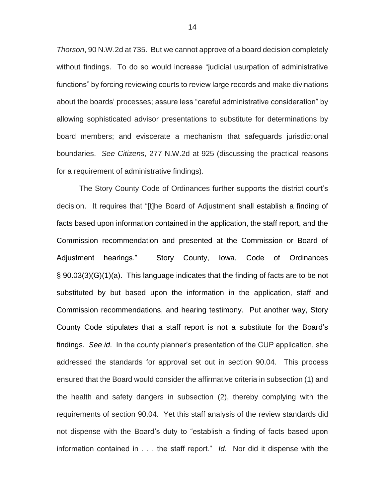*Thorson*, 90 N.W.2d at 735. But we cannot approve of a board decision completely without findings. To do so would increase "judicial usurpation of administrative functions" by forcing reviewing courts to review large records and make divinations about the boards' processes; assure less "careful administrative consideration" by allowing sophisticated advisor presentations to substitute for determinations by board members; and eviscerate a mechanism that safeguards jurisdictional boundaries. *See Citizens*, 277 N.W.2d at 925 (discussing the practical reasons for a requirement of administrative findings).

The Story County Code of Ordinances further supports the district court's decision. It requires that "[t]he Board of Adjustment shall establish a finding of facts based upon information contained in the application, the staff report, and the Commission recommendation and presented at the Commission or Board of Adjustment hearings." Story County, Iowa, Code of Ordinances § 90.03(3)(G)(1)(a). This language indicates that the finding of facts are to be not substituted by but based upon the information in the application, staff and Commission recommendations, and hearing testimony. Put another way, Story County Code stipulates that a staff report is not a substitute for the Board's findings. *See id*.In the county planner's presentation of the CUP application, she addressed the standards for approval set out in section 90.04. This process ensured that the Board would consider the affirmative criteria in subsection (1) and the health and safety dangers in subsection (2), thereby complying with the requirements of section 90.04. Yet this staff analysis of the review standards did not dispense with the Board's duty to "establish a finding of facts based upon information contained in . . . the staff report." *Id.* Nor did it dispense with the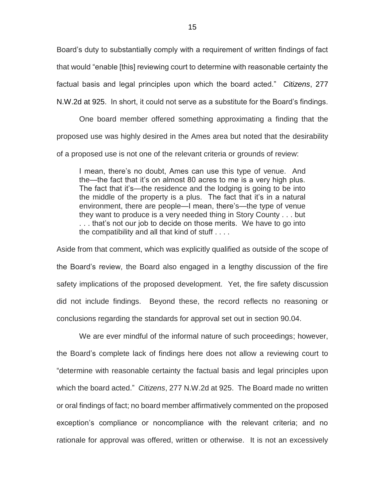Board's duty to substantially comply with a requirement of written findings of fact that would "enable [this] reviewing court to determine with reasonable certainty the factual basis and legal principles upon which the board acted." *Citizens*, 277 N.W.2d at 925. In short, it could not serve as a substitute for the Board's findings.

One board member offered something approximating a finding that the proposed use was highly desired in the Ames area but noted that the desirability of a proposed use is not one of the relevant criteria or grounds of review:

I mean, there's no doubt, Ames can use this type of venue. And the—the fact that it's on almost 80 acres to me is a very high plus. The fact that it's—the residence and the lodging is going to be into the middle of the property is a plus. The fact that it's in a natural environment, there are people—I mean, there's—the type of venue they want to produce is a very needed thing in Story County . . . but . . . that's not our job to decide on those merits. We have to go into the compatibility and all that kind of stuff . . . .

Aside from that comment, which was explicitly qualified as outside of the scope of the Board's review, the Board also engaged in a lengthy discussion of the fire safety implications of the proposed development. Yet, the fire safety discussion did not include findings. Beyond these, the record reflects no reasoning or conclusions regarding the standards for approval set out in section 90.04.

We are ever mindful of the informal nature of such proceedings; however, the Board's complete lack of findings here does not allow a reviewing court to "determine with reasonable certainty the factual basis and legal principles upon which the board acted." *Citizens*, 277 N.W.2d at 925. The Board made no written or oral findings of fact; no board member affirmatively commented on the proposed exception's compliance or noncompliance with the relevant criteria; and no rationale for approval was offered, written or otherwise. It is not an excessively